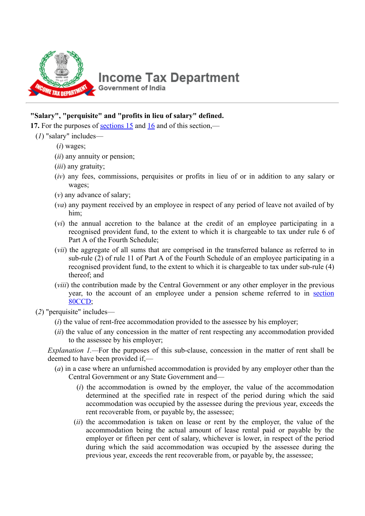

## **Income Tax Department Government of India**

## **"Salary", "perquisite" and "profits in lieu of salary" defined.**

**17.** For the purposes of [sections 15](javascript:ShowMainContent() and [16](javascript:ShowMainContent() and of this section,—

- (*1*) "salary" includes—
	- (*i*) wages;
	- (*ii*) any annuity or pension;
	- (*iii*) any gratuity;
	- (*iv*) any fees, commissions, perquisites or profits in lieu of or in addition to any salary or wages;
	- (*v*) any advance of salary;
	- (*va*) any payment received by an employee in respect of any period of leave not availed of by him;
	- (*vi*) the annual accretion to the balance at the credit of an employee participating in a recognised provident fund, to the extent to which it is chargeable to tax under rule 6 of Part A of the Fourth Schedule;
	- (*vii*) the aggregate of all sums that are comprised in the transferred balance as referred to in sub-rule (2) of rule 11 of Part A of the Fourth Schedule of an employee participating in a recognised provident fund, to the extent to which it is chargeable to tax under sub-rule (4) thereof; and
	- (*viii*) the contribution made by the Central Government or any other employer in the previous [year, to the account of an employee under a pension scheme referred to in section](javascript:ShowMainContent() 80CCD;
- (*2*) "perquisite" includes—
	- (*i*) the value of rent-free accommodation provided to the assessee by his employer;
	- (*ii*) the value of any concession in the matter of rent respecting any accommodation provided to the assessee by his employer;

*Explanation 1.*—For the purposes of this sub-clause, concession in the matter of rent shall be deemed to have been provided if,—

- (*a*) in a case where an unfurnished accommodation is provided by any employer other than the Central Government or any State Government and—
	- (*i*) the accommodation is owned by the employer, the value of the accommodation determined at the specified rate in respect of the period during which the said accommodation was occupied by the assessee during the previous year, exceeds the rent recoverable from, or payable by, the assessee;
	- (*ii*) the accommodation is taken on lease or rent by the employer, the value of the accommodation being the actual amount of lease rental paid or payable by the employer or fifteen per cent of salary, whichever is lower, in respect of the period during which the said accommodation was occupied by the assessee during the previous year, exceeds the rent recoverable from, or payable by, the assessee;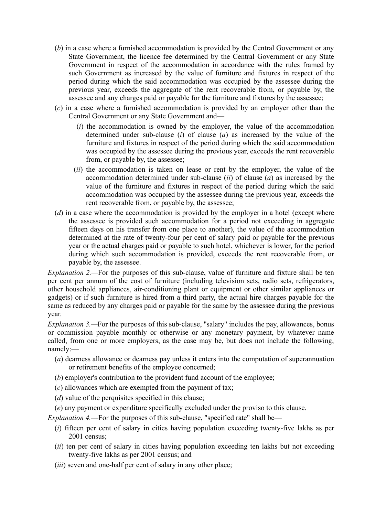- (*b*) in a case where a furnished accommodation is provided by the Central Government or any State Government, the licence fee determined by the Central Government or any State Government in respect of the accommodation in accordance with the rules framed by such Government as increased by the value of furniture and fixtures in respect of the period during which the said accommodation was occupied by the assessee during the previous year, exceeds the aggregate of the rent recoverable from, or payable by, the assessee and any charges paid or payable for the furniture and fixtures by the assessee;
- (*c*) in a case where a furnished accommodation is provided by an employer other than the Central Government or any State Government and—
	- (*i*) the accommodation is owned by the employer, the value of the accommodation determined under sub-clause (*i*) of clause (*a*) as increased by the value of the furniture and fixtures in respect of the period during which the said accommodation was occupied by the assessee during the previous year, exceeds the rent recoverable from, or payable by, the assessee;
	- (*ii*) the accommodation is taken on lease or rent by the employer, the value of the accommodation determined under sub-clause (*ii*) of clause (*a*) as increased by the value of the furniture and fixtures in respect of the period during which the said accommodation was occupied by the assessee during the previous year, exceeds the rent recoverable from, or payable by, the assessee;
- (*d*) in a case where the accommodation is provided by the employer in a hotel (except where the assessee is provided such accommodation for a period not exceeding in aggregate fifteen days on his transfer from one place to another), the value of the accommodation determined at the rate of twenty-four per cent of salary paid or payable for the previous year or the actual charges paid or payable to such hotel, whichever is lower, for the period during which such accommodation is provided, exceeds the rent recoverable from, or payable by, the assessee.

*Explanation 2.—*For the purposes of this sub-clause, value of furniture and fixture shall be ten per cent per annum of the cost of furniture (including television sets, radio sets, refrigerators, other household appliances, air-conditioning plant or equipment or other similar appliances or gadgets) or if such furniture is hired from a third party, the actual hire charges payable for the same as reduced by any charges paid or payable for the same by the assessee during the previous year.

*Explanation 3.*—For the purposes of this sub-clause, "salary" includes the pay, allowances, bonus or commission payable monthly or otherwise or any monetary payment, by whatever name called, from one or more employers, as the case may be, but does not include the following, namely:—

- (*a*) dearness allowance or dearness pay unless it enters into the computation of superannuation or retirement benefits of the employee concerned;
- (*b*) employer's contribution to the provident fund account of the employee;
- (*c*) allowances which are exempted from the payment of tax;
- (*d*) value of the perquisites specified in this clause;

(*e*) any payment or expenditure specifically excluded under the proviso to this clause.

*Explanation 4.*—For the purposes of this sub-clause, "specified rate" shall be—

- (*i*) fifteen per cent of salary in cities having population exceeding twenty-five lakhs as per 2001 census;
- (*ii*) ten per cent of salary in cities having population exceeding ten lakhs but not exceeding twenty-five lakhs as per 2001 census; and
- (*iii*) seven and one-half per cent of salary in any other place;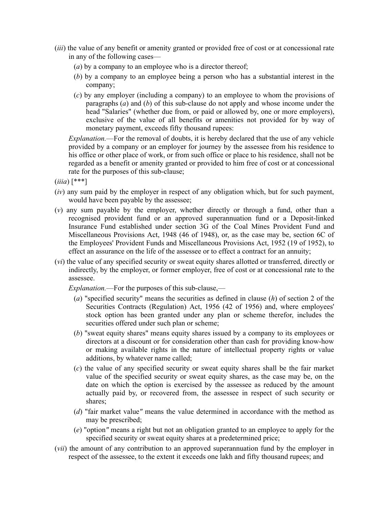- (*iii*) the value of any benefit or amenity granted or provided free of cost or at concessional rate in any of the following cases—
	- (*a*) by a company to an employee who is a director thereof;
	- (*b*) by a company to an employee being a person who has a substantial interest in the company;
	- (*c*) by any employer (including a company) to an employee to whom the provisions of paragraphs (*a*) and (*b*) of this sub-clause do not apply and whose income under the head "Salaries" (whether due from, or paid or allowed by, one or more employers), exclusive of the value of all benefits or amenities not provided for by way of monetary payment, exceeds fifty thousand rupees:

*Explanation.*—For the removal of doubts, it is hereby declared that the use of any vehicle provided by a company or an employer for journey by the assessee from his residence to his office or other place of work, or from such office or place to his residence, shall not be regarded as a benefit or amenity granted or provided to him free of cost or at concessional rate for the purposes of this sub-clause;

(*iiia*) [\*\*\*]

- (*iv*) any sum paid by the employer in respect of any obligation which, but for such payment, would have been payable by the assessee;
- (*v*) any sum payable by the employer, whether directly or through a fund, other than a recognised provident fund or an approved superannuation fund or a Deposit-linked Insurance Fund established under section 3G of the Coal Mines Provident Fund and Miscellaneous Provisions Act, 1948 (46 of 1948), or, as the case may be, section 6C of the Employees' Provident Funds and Miscellaneous Provisions Act, 1952 (19 of 1952), to effect an assurance on the life of the assessee or to effect a contract for an annuity;
- (*vi*) the value of any specified security or sweat equity shares allotted or transferred, directly or indirectly, by the employer, or former employer, free of cost or at concessional rate to the assessee.

*Explanation.*—For the purposes of this sub-clause,—

- (*a*) "specified security" means the securities as defined in clause (*h*) of section 2 of the Securities Contracts (Regulation) Act, 1956 (42 of 1956) and, where employees' stock option has been granted under any plan or scheme therefor, includes the securities offered under such plan or scheme;
- (*b*) "sweat equity shares" means equity shares issued by a company to its employees or directors at a discount or for consideration other than cash for providing know-how or making available rights in the nature of intellectual property rights or value additions, by whatever name called;
- (*c*) the value of any specified security or sweat equity shares shall be the fair market value of the specified security or sweat equity shares, as the case may be, on the date on which the option is exercised by the assessee as reduced by the amount actually paid by, or recovered from, the assessee in respect of such security or shares;
- (*d*) "fair market value*"* means the value determined in accordance with the method as may be prescribed;
- (*e*) "option*"* means a right but not an obligation granted to an employee to apply for the specified security or sweat equity shares at a predetermined price;
- (*vii*) the amount of any contribution to an approved superannuation fund by the employer in respect of the assessee, to the extent it exceeds one lakh and fifty thousand rupees; and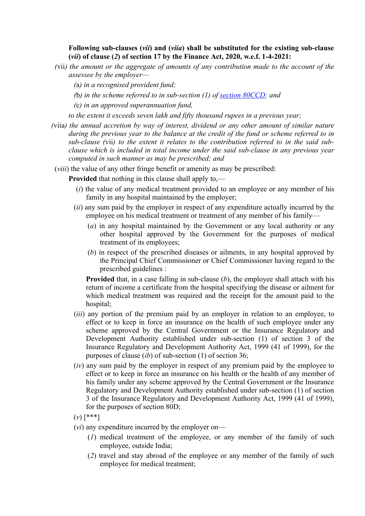**Following sub-clauses (***vii***) and (***viia***) shall be substituted for the existing sub-clause (***vii***) of clause (***2***) of section 17 by the Finance Act, 2020, w.e.f. 1-4-2021:**

- *(*vii*) the amount or the aggregate of amounts of any contribution made to the account of the assessee by the employer—*
	- *(*a*) in a recognised provident fund;*
	- *(*b*) in the scheme referred to in sub-section (1) of [section 80CCD;](javascript:ShowMainContent() and*
	- *(*c*) in an approved superannuation fund,*

*to the extent it exceeds seven lakh and fifty thousand rupees in a previous year;*

*(*viia*) the annual accretion by way of interest, dividend or any other amount of similar nature during the previous year to the balance at the credit of the fund or scheme referred to in sub-clause (*vii*) to the extent it relates to the contribution referred to in the said subclause which is included in total income under the said sub-clause in any previous year computed in such manner as may be prescribed; and*

(*viii*) the value of any other fringe benefit or amenity as may be prescribed:

**Provided** that nothing in this clause shall apply to,—

- (*i*) the value of any medical treatment provided to an employee or any member of his family in any hospital maintained by the employer;
- (*ii*) any sum paid by the employer in respect of any expenditure actually incurred by the employee on his medical treatment or treatment of any member of his family—
	- (*a*) in any hospital maintained by the Government or any local authority or any other hospital approved by the Government for the purposes of medical treatment of its employees;
	- (*b*) in respect of the prescribed diseases or ailments, in any hospital approved by the Principal Chief Commissioner or Chief Commissioner having regard to the prescribed guidelines :

**Provided** that, in a case falling in sub-clause (*b*), the employee shall attach with his return of income a certificate from the hospital specifying the disease or ailment for which medical treatment was required and the receipt for the amount paid to the hospital;

- (*iii*) any portion of the premium paid by an employer in relation to an employee, to effect or to keep in force an insurance on the health of such employee under any scheme approved by the Central Government or the Insurance Regulatory and Development Authority established under sub-section (1) of section 3 of the Insurance Regulatory and Development Authority Act, 1999 (41 of 1999), for the purposes of clause (*ib*) of sub-section (1) of section 36;
- (*iv*) any sum paid by the employer in respect of any premium paid by the employee to effect or to keep in force an insurance on his health or the health of any member of his family under any scheme approved by the Central Government or the Insurance Regulatory and Development Authority established under sub-section (1) of section 3 of the Insurance Regulatory and Development Authority Act, 1999 (41 of 1999), for the purposes of section 80D;
- (*v*) [\*\*\*]
- (*vi*) any expenditure incurred by the employer on—
	- (*1*) medical treatment of the employee, or any member of the family of such employee, outside India;
	- (*2*) travel and stay abroad of the employee or any member of the family of such employee for medical treatment;